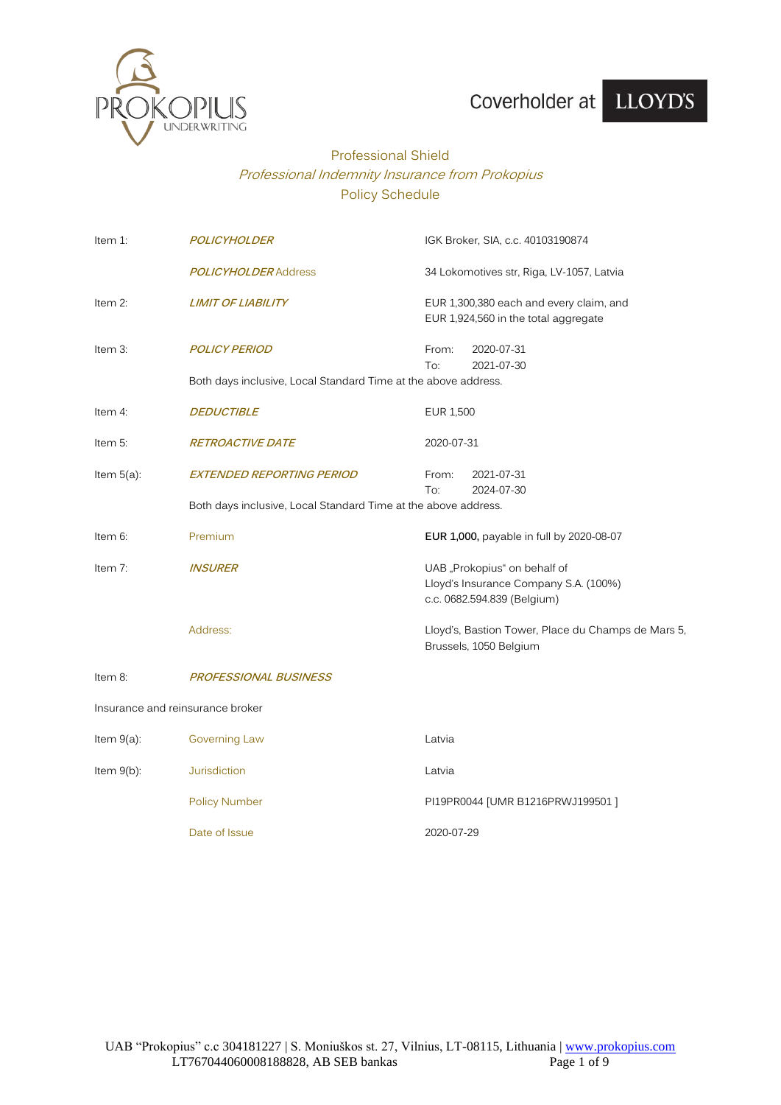

# Coverholder at LLOYD'S

## Professional Shield Professional Indemnity Insurance from Prokopius Policy Schedule

| Item 1:       | <b>POLICYHOLDER</b>                                            | IGK Broker, SIA, c.c. 40103190874                                                                    |  |
|---------------|----------------------------------------------------------------|------------------------------------------------------------------------------------------------------|--|
|               | <b>POLICYHOLDER Address</b>                                    | 34 Lokomotives str, Riga, LV-1057, Latvia                                                            |  |
| Item 2:       | <b>LIMIT OF LIABILITY</b>                                      | EUR 1,300,380 each and every claim, and<br>EUR 1,924,560 in the total aggregate                      |  |
| Item 3:       | <b>POLICY PERIOD</b>                                           | 2020-07-31<br>From:<br>To:<br>2021-07-30                                                             |  |
|               | Both days inclusive, Local Standard Time at the above address. |                                                                                                      |  |
| Item 4:       | <b>DEDUCTIBLE</b>                                              | <b>EUR 1,500</b>                                                                                     |  |
| Item 5:       | <b>RETROACTIVE DATE</b>                                        | 2020-07-31                                                                                           |  |
| Item $5(a)$ : | <b>EXTENDED REPORTING PERIOD</b>                               | 2021-07-31<br>From:<br>2024-07-30<br>To:                                                             |  |
|               | Both days inclusive, Local Standard Time at the above address. |                                                                                                      |  |
| Item 6:       | Premium                                                        | EUR 1,000, payable in full by 2020-08-07                                                             |  |
| Item $7$ :    | <i><b>INSURER</b></i>                                          | UAB "Prokopius" on behalf of<br>Lloyd's Insurance Company S.A. (100%)<br>c.c. 0682.594.839 (Belgium) |  |
|               | Address:                                                       | Lloyd's, Bastion Tower, Place du Champs de Mars 5,<br>Brussels, 1050 Belgium                         |  |
| Item 8:       | <b>PROFESSIONAL BUSINESS</b>                                   |                                                                                                      |  |
|               | Insurance and reinsurance broker                               |                                                                                                      |  |
| Item $9(a)$ : | <b>Governing Law</b>                                           | Latvia                                                                                               |  |
| Item $9(b)$ : | <b>Jurisdiction</b>                                            | Latvia                                                                                               |  |
|               | <b>Policy Number</b>                                           | PI19PR0044 [UMR B1216PRWJ199501]                                                                     |  |
|               | Date of Issue                                                  | 2020-07-29                                                                                           |  |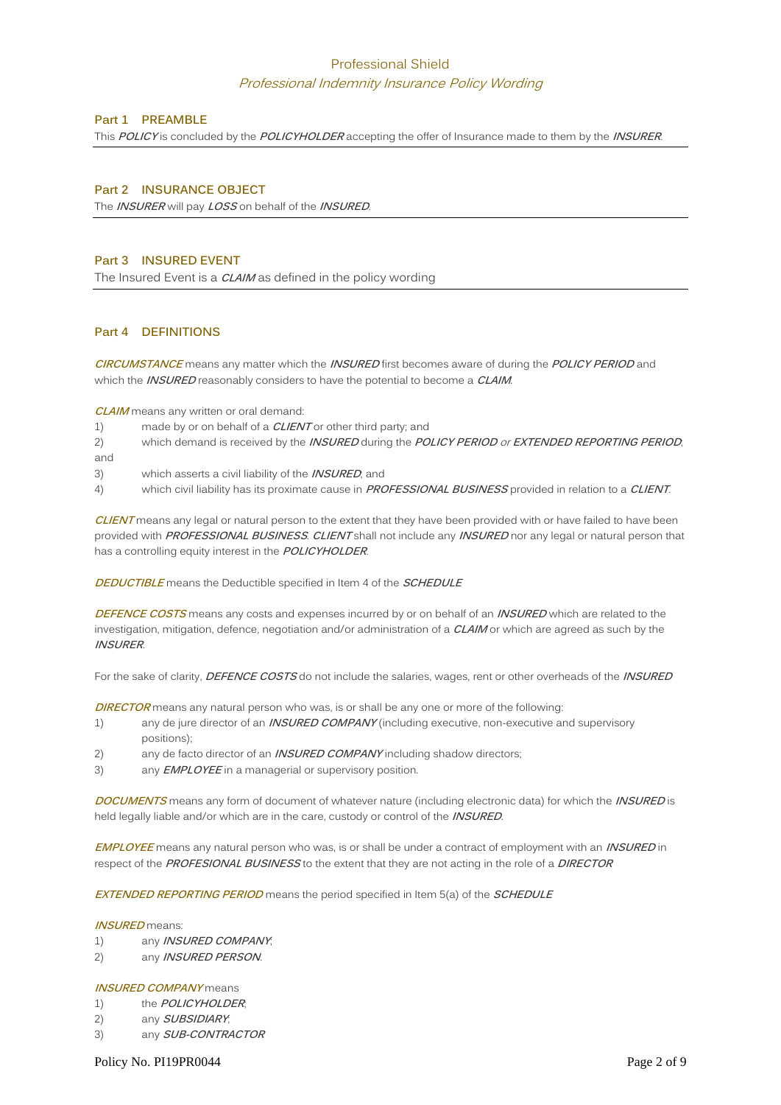### Professional Shield

#### Professional Indemnity Insurance Policy Wording

#### **Part 1 PREAMBLE**

This **POLICY** is concluded by the **POLICYHOLDER** accepting the offer of Insurance made to them by the **INSURER**.

#### **Part 2 INSURANCE OBJECT**

The **INSURER** will pay **LOSS** on behalf of the **INSURED**.

#### **Part 3 INSURED EVENT**

The Insured Event is a **CLAIM** as defined in the policy wording

#### **Part 4 DEFINITIONS**

**CIRCUMSTANCE** means any matter which the **INSURED** first becomes aware of during the **POLICY PERIOD** and which the **INSURED** reasonably considers to have the potential to become a **CLAIM**.

**CLAIM** means any written or oral demand:

- 1) made by or on behalf of a **CLIENT** or other third party; and
- 2) which demand is received by the **INSURED** during the **POLICY PERIOD** or **EXTENDED REPORTING PERIOD**; and
- 3) which asserts a civil liability of the **INSURED**; and
- 4) which civil liability has its proximate cause in **PROFESSIONAL BUSINESS** provided in relation to a **CLIENT**.

**CLIENT** means any legal or natural person to the extent that they have been provided with or have failed to have been provided with **PROFESSIONAL BUSINESS**. **CLIENT** shall not include any **INSURED** nor any legal or natural person that has a controlling equity interest in the **POLICYHOLDER**.

**DEDUCTIBLE** means the Deductible specified in Item 4 of the **SCHEDULE**

**DEFENCE COSTS** means any costs and expenses incurred by or on behalf of an **INSURED** which are related to the investigation, mitigation, defence, negotiation and/or administration of a **CLAIM** or which are agreed as such by the **INSURER**.

For the sake of clarity, **DEFENCE COSTS** do not include the salaries, wages, rent or other overheads of the **INSURED**

**DIRECTOR** means any natural person who was, is or shall be any one or more of the following:

- 1) any de jure director of an **INSURED COMPANY** (including executive, non-executive and supervisory positions);
- 2) any de facto director of an **INSURED COMPANY** including shadow directors;
- 3) any **EMPLOYEE** in a managerial or supervisory position.

**DOCUMENTS** means any form of document of whatever nature (including electronic data) for which the **INSURED** is held legally liable and/or which are in the care, custody or control of the **INSURED**.

**EMPLOYEE** means any natural person who was, is or shall be under a contract of employment with an **INSURED** in respect of the **PROFESIONAL BUSINESS** to the extent that they are not acting in the role of a **DIRECTOR**

**EXTENDED REPORTING PERIOD** means the period specified in Item 5(a) of the **SCHEDULE**

#### **INSURED** means:

- 1) any **INSURED COMPANY**;
- 2) any **INSURED PERSON**.

#### **INSURED COMPANY** means

- 1) the **POLICYHOLDER**;
- 2) any **SUBSIDIARY**;
- 3) any **SUB-CONTRACTOR**

Policy No. PI19PR0044 Page 2 of 9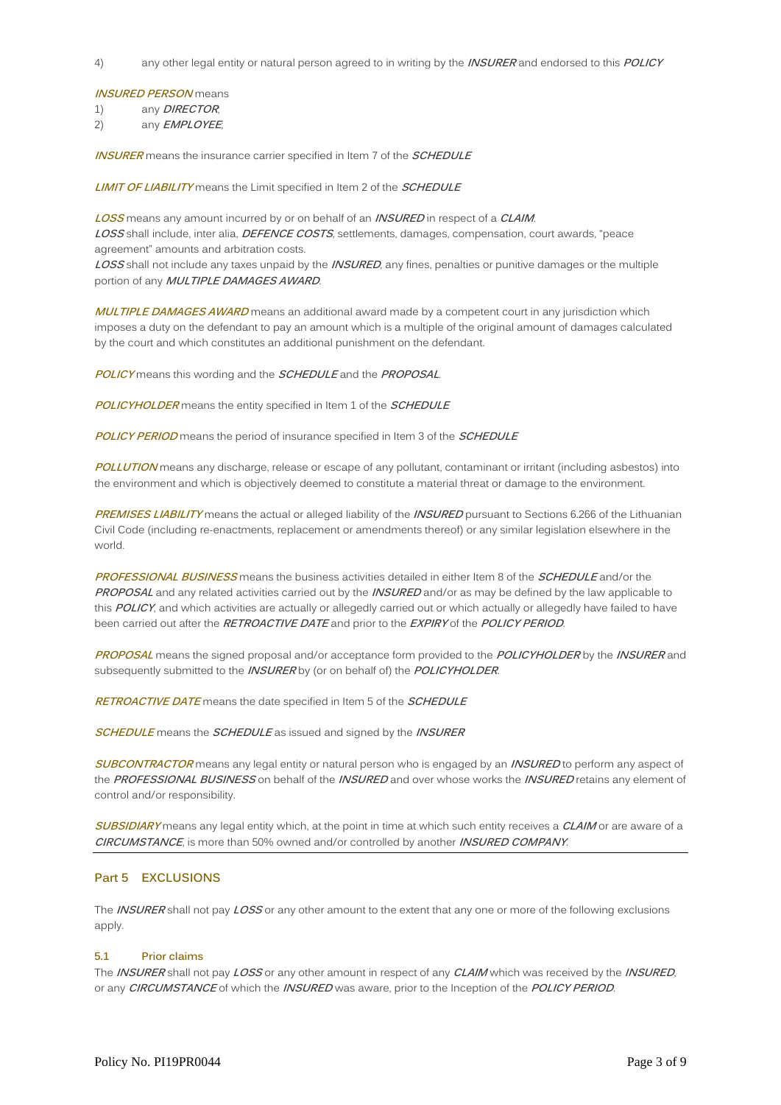4) any other legal entity or natural person agreed to in writing by the **INSURER** and endorsed to this **POLICY**

#### **INSURED PERSON** means

1) any **DIRECTOR**;

2) any **EMPLOYEE**;

**INSURER** means the insurance carrier specified in Item 7 of the **SCHEDULE**

**LIMIT OF LIABILITY** means the Limit specified in Item 2 of the **SCHEDULE**

**LOSS** means any amount incurred by or on behalf of an **INSURED** in respect of a **CLAIM**. **LOSS** shall include, inter alia, **DEFENCE COSTS**, settlements, damages, compensation, court awards, "peace agreement" amounts and arbitration costs.

**LOSS** shall not include any taxes unpaid by the **INSURED**, any fines, penalties or punitive damages or the multiple portion of any **MULTIPLE DAMAGES AWARD**.

**MULTIPLE DAMAGES AWARD** means an additional award made by a competent court in any jurisdiction which imposes a duty on the defendant to pay an amount which is a multiple of the original amount of damages calculated by the court and which constitutes an additional punishment on the defendant.

**POLICY** means this wording and the **SCHEDULE** and the **PROPOSAL**.

**POLICYHOLDER** means the entity specified in Item 1 of the **SCHEDULE**

**POLICY PERIOD** means the period of insurance specified in Item 3 of the **SCHEDULE**

**POLLUTION** means any discharge, release or escape of any pollutant, contaminant or irritant (including asbestos) into the environment and which is objectively deemed to constitute a material threat or damage to the environment.

**PREMISES LIABILITY** means the actual or alleged liability of the **INSURED** pursuant to Sections 6.266 of the Lithuanian Civil Code (including re-enactments, replacement or amendments thereof) or any similar legislation elsewhere in the world.

**PROFESSIONAL BUSINESS** means the business activities detailed in either Item 8 of the **SCHEDULE** and/or the **PROPOSAL** and any related activities carried out by the **INSURED** and/or as may be defined by the law applicable to this **POLICY**, and which activities are actually or allegedly carried out or which actually or allegedly have failed to have been carried out after the **RETROACTIVE DATE** and prior to the **EXPIRY** of the **POLICY PERIOD**.

**PROPOSAL** means the signed proposal and/or acceptance form provided to the **POLICYHOLDER** by the **INSURER** and subsequently submitted to the **INSURER** by (or on behalf of) the **POLICYHOLDER**.

**RETROACTIVE DATE** means the date specified in Item 5 of the **SCHEDULE**

**SCHEDULE** means the **SCHEDULE** as issued and signed by the **INSURER**

**SUBCONTRACTOR** means any legal entity or natural person who is engaged by an **INSURED** to perform any aspect of the **PROFESSIONAL BUSINESS** on behalf of the **INSURED** and over whose works the **INSURED** retains any element of control and/or responsibility.

**SUBSIDIARY** means any legal entity which, at the point in time at which such entity receives a **CLAIM** or are aware of a **CIRCUMSTANCE**, is more than 50% owned and/or controlled by another **INSURED COMPANY**.

#### **Part 5 EXCLUSIONS**

The **INSURER** shall not pay **LOSS** or any other amount to the extent that any one or more of the following exclusions apply.

#### **5.1 Prior claims**

The **INSURER** shall not pay **LOSS** or any other amount in respect of any **CLAIM** which was received by the **INSURED**, or any **CIRCUMSTANCE** of which the **INSURED** was aware, prior to the Inception of the **POLICY PERIOD**.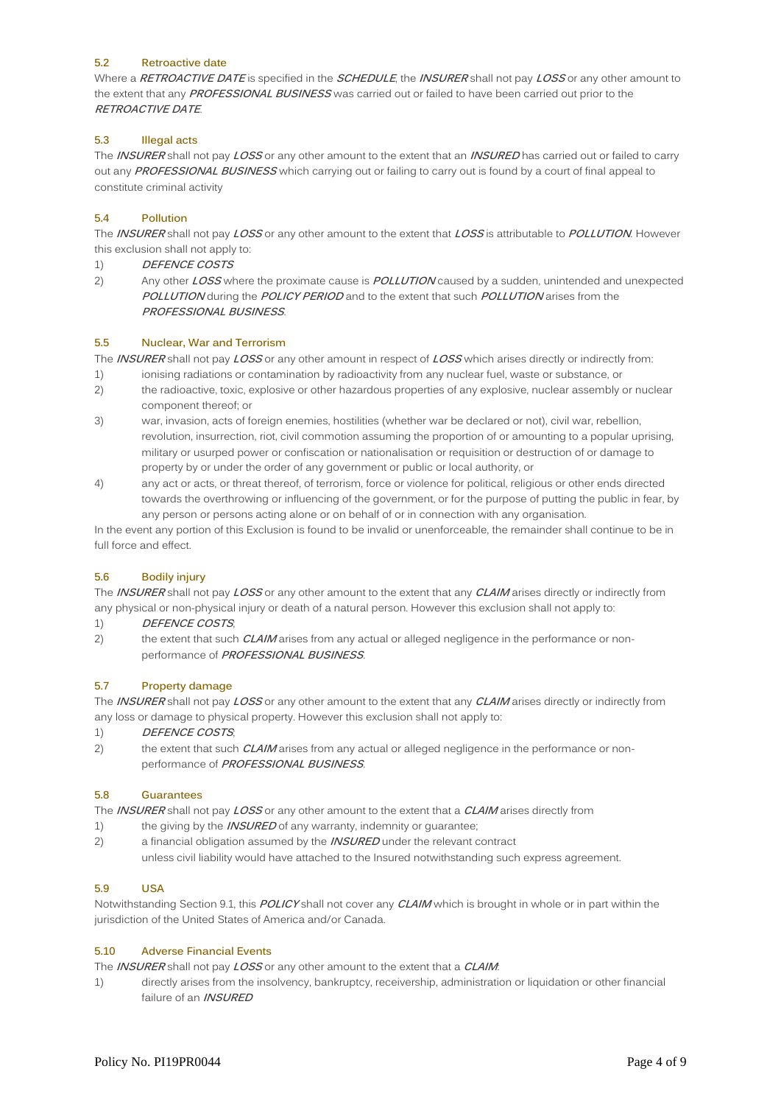#### **5.2 Retroactive date**

Where a **RETROACTIVE DATE** is specified in the **SCHEDULE**, the **INSURER** shall not pay **LOSS** or any other amount to the extent that any **PROFESSIONAL BUSINESS** was carried out or failed to have been carried out prior to the **RETROACTIVE DATE**.

#### **5.3 Illegal acts**

The **INSURER** shall not pay **LOSS** or any other amount to the extent that an **INSURED** has carried out or failed to carry out any **PROFESSIONAL BUSINESS** which carrying out or failing to carry out is found by a court of final appeal to constitute criminal activity

#### **5.4 Pollution**

The **INSURER** shall not pay **LOSS** or any other amount to the extent that **LOSS** is attributable to **POLLUTION**. However this exclusion shall not apply to:

- 1) **DEFENCE COSTS**
- 2) Any other **LOSS** where the proximate cause is **POLLUTION** caused by a sudden, unintended and unexpected **POLLUTION** during the **POLICY PERIOD** and to the extent that such **POLLUTION** arises from the **PROFESSIONAL BUSINESS**.

#### **5.5 Nuclear, War and Terrorism**

The **INSURER** shall not pay **LOSS** or any other amount in respect of **LOSS** which arises directly or indirectly from:

- 1) ionising radiations or contamination by radioactivity from any nuclear fuel, waste or substance, or
- 2) the radioactive, toxic, explosive or other hazardous properties of any explosive, nuclear assembly or nuclear component thereof; or
- 3) war, invasion, acts of foreign enemies, hostilities (whether war be declared or not), civil war, rebellion, revolution, insurrection, riot, civil commotion assuming the proportion of or amounting to a popular uprising, military or usurped power or confiscation or nationalisation or requisition or destruction of or damage to property by or under the order of any government or public or local authority, or
- 4) any act or acts, or threat thereof, of terrorism, force or violence for political, religious or other ends directed towards the overthrowing or influencing of the government, or for the purpose of putting the public in fear, by any person or persons acting alone or on behalf of or in connection with any organisation.

In the event any portion of this Exclusion is found to be invalid or unenforceable, the remainder shall continue to be in full force and effect.

#### **5.6 Bodily injury**

The **INSURER** shall not pay **LOSS** or any other amount to the extent that any **CLAIM** arises directly or indirectly from any physical or non-physical injury or death of a natural person. However this exclusion shall not apply to:

#### 1) **DEFENCE COSTS**;

2) the extent that such **CLAIM** arises from any actual or alleged negligence in the performance or nonperformance of **PROFESSIONAL BUSINESS**.

#### **5.7 Property damage**

The **INSURER** shall not pay **LOSS** or any other amount to the extent that any **CLAIM** arises directly or indirectly from any loss or damage to physical property. However this exclusion shall not apply to:

1) **DEFENCE COSTS**;

2) the extent that such **CLAIM** arises from any actual or alleged negligence in the performance or nonperformance of **PROFESSIONAL BUSINESS**.

#### **5.8 Guarantees**

The **INSURER** shall not pay **LOSS** or any other amount to the extent that a **CLAIM** arises directly from

- 1) the giving by the **INSURED** of any warranty, indemnity or guarantee;
- 2) a financial obligation assumed by the **INSURED** under the relevant contract unless civil liability would have attached to the Insured notwithstanding such express agreement.

#### **5.9 USA**

Notwithstanding Section 9.1, this **POLICY** shall not cover any **CLAIM** which is brought in whole or in part within the jurisdiction of the United States of America and/or Canada.

#### **5.10 Adverse Financial Events**

The **INSURER** shall not pay **LOSS** or any other amount to the extent that a **CLAIM**:

1) directly arises from the insolvency, bankruptcy, receivership, administration or liquidation or other financial failure of an **INSURED**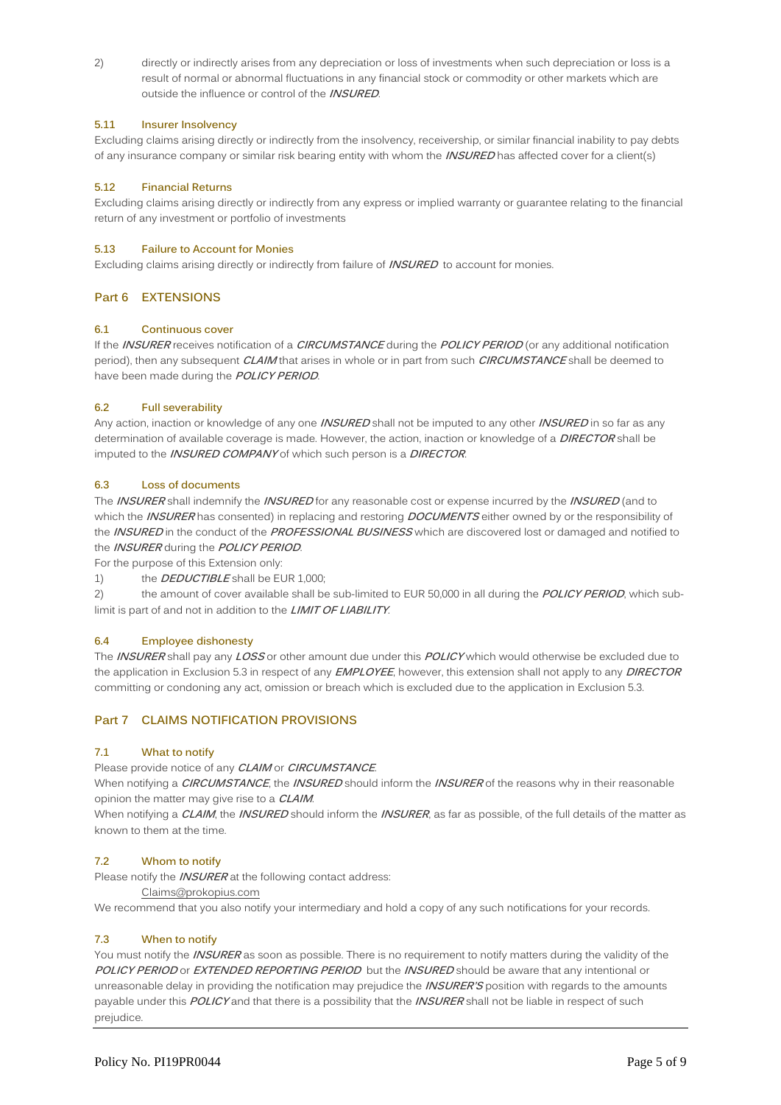2) directly or indirectly arises from any depreciation or loss of investments when such depreciation or loss is a result of normal or abnormal fluctuations in any financial stock or commodity or other markets which are outside the influence or control of the **INSURED**.

#### **5.11 Insurer Insolvency**

Excluding claims arising directly or indirectly from the insolvency, receivership, or similar financial inability to pay debts of any insurance company or similar risk bearing entity with whom the **INSURED** has affected cover for a client(s)

#### **5.12 Financial Returns**

Excluding claims arising directly or indirectly from any express or implied warranty or guarantee relating to the financial return of any investment or portfolio of investments

#### **5.13 Failure to Account for Monies**

Excluding claims arising directly or indirectly from failure of **INSURED** to account for monies.

#### **Part 6 EXTENSIONS**

#### **6.1 Continuous cover**

If the **INSURER** receives notification of a **CIRCUMSTANCE** during the **POLICY PERIOD** (or any additional notification period), then any subsequent **CLAIM** that arises in whole or in part from such **CIRCUMSTANCE** shall be deemed to have been made during the **POLICY PERIOD**.

#### **6.2 Full severability**

Any action, inaction or knowledge of any one **INSURED** shall not be imputed to any other **INSURED** in so far as any determination of available coverage is made. However, the action, inaction or knowledge of a **DIRECTOR** shall be imputed to the **INSURED COMPANY** of which such person is a **DIRECTOR**.

#### **6.3 Loss of documents**

The **INSURER** shall indemnify the **INSURED** for any reasonable cost or expense incurred by the **INSURED** (and to which the **INSURER** has consented) in replacing and restoring **DOCUMENTS** either owned by or the responsibility of the **INSURED** in the conduct of the **PROFESSIONAL BUSINESS** which are discovered lost or damaged and notified to the **INSURER** during the **POLICY PERIOD**.

For the purpose of this Extension only:

1) the **DEDUCTIBLE** shall be EUR 1,000;

2) the amount of cover available shall be sub-limited to EUR 50,000 in all during the **POLICY PERIOD**, which sublimit is part of and not in addition to the **LIMIT OF LIABILITY**.

#### **6.4 Employee dishonesty**

The **INSURER** shall pay any **LOSS** or other amount due under this **POLICY** which would otherwise be excluded due to the application in Exclusion 5.3 in respect of any **EMPLOYEE**, however, this extension shall not apply to any **DIRECTOR** committing or condoning any act, omission or breach which is excluded due to the application in Exclusion 5.3.

#### **Part 7 CLAIMS NOTIFICATION PROVISIONS**

#### **7.1 What to notify**

Please provide notice of any **CLAIM** or **CIRCUMSTANCE**.

When notifying a **CIRCUMSTANCE**, the **INSURED** should inform the **INSURER** of the reasons why in their reasonable opinion the matter may give rise to a **CLAIM**.

When notifying a **CLAIM**, the **INSURED** should inform the **INSURER**, as far as possible, of the full details of the matter as known to them at the time.

#### **7.2 Whom to notify**

Please notify the **INSURER** at the following contact address:

[Claims@prokopius.com](mailto:Claims@prokopius.com)

We recommend that you also notify your intermediary and hold a copy of any such notifications for your records.

#### **7.3 When to notify**

You must notify the **INSURER** as soon as possible. There is no requirement to notify matters during the validity of the **POLICY PERIOD** or **EXTENDED REPORTING PERIOD** but the **INSURED** should be aware that any intentional or unreasonable delay in providing the notification may prejudice the **INSURER'S** position with regards to the amounts payable under this **POLICY** and that there is a possibility that the **INSURER** shall not be liable in respect of such prejudice.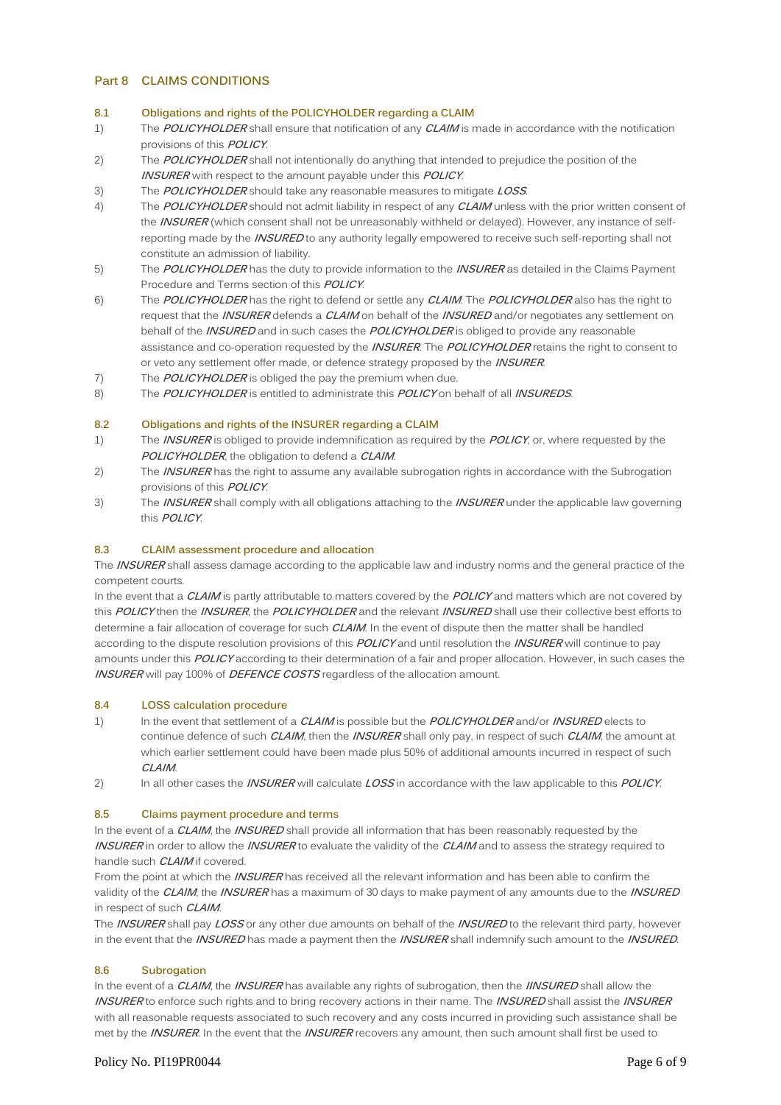#### **Part 8 CLAIMS CONDITIONS**

#### **8.1 Obligations and rights of the POLICYHOLDER regarding a CLAIM**

- 1) The **POLICYHOLDER** shall ensure that notification of any **CLAIM** is made in accordance with the notification provisions of this **POLICY**.
- 2) The **POLICYHOLDER** shall not intentionally do anything that intended to prejudice the position of the **INSURER** with respect to the amount payable under this **POLICY**.
- 3) The **POLICYHOLDER** should take any reasonable measures to mitigate **LOSS**.
- 4) The **POLICYHOLDER** should not admit liability in respect of any **CLAIM** unless with the prior written consent of the **INSURER** (which consent shall not be unreasonably withheld or delayed). However, any instance of selfreporting made by the **INSURED** to any authority legally empowered to receive such self-reporting shall not constitute an admission of liability.
- 5) The **POLICYHOLDER** has the duty to provide information to the **INSURER** as detailed in the Claims Payment Procedure and Terms section of this **POLICY**.
- 6) The **POLICYHOLDER** has the right to defend or settle any **CLAIM**. The **POLICYHOLDER** also has the right to request that the **INSURER** defends a **CLAIM** on behalf of the **INSURED** and/or negotiates any settlement on behalf of the **INSURED** and in such cases the **POLICYHOLDER** is obliged to provide any reasonable assistance and co-operation requested by the **INSURER**. The **POLICYHOLDER** retains the right to consent to or veto any settlement offer made, or defence strategy proposed by the **INSURER**.
- 7) The **POLICYHOLDER** is obliged the pay the premium when due.
- 8) The **POLICYHOLDER** is entitled to administrate this **POLICY** on behalf of all **INSUREDS**.

#### **8.2 Obligations and rights of the INSURER regarding a CLAIM**

- 1) The **INSURER** is obliged to provide indemnification as required by the **POLICY**, or, where requested by the **POLICYHOLDER**, the obligation to defend a **CLAIM**.
- 2) The **INSURER** has the right to assume any available subrogation rights in accordance with the Subrogation provisions of this **POLICY**.
- 3) The **INSURER** shall comply with all obligations attaching to the **INSURER** under the applicable law governing this **POLICY**.

#### **8.3 CLAIM assessment procedure and allocation**

The **INSURER** shall assess damage according to the applicable law and industry norms and the general practice of the competent courts.

In the event that a **CLAIM** is partly attributable to matters covered by the **POLICY** and matters which are not covered by this **POLICY** then the **INSURER**, the **POLICYHOLDER** and the relevant **INSURED** shall use their collective best efforts to determine a fair allocation of coverage for such **CLAIM**. In the event of dispute then the matter shall be handled according to the dispute resolution provisions of this **POLICY** and until resolution the **INSURER** will continue to pay amounts under this **POLICY** according to their determination of a fair and proper allocation. However, in such cases the **INSURER** will pay 100% of **DEFENCE COSTS** regardless of the allocation amount.

#### **8.4 LOSS calculation procedure**

- 1) In the event that settlement of a **CLAIM** is possible but the **POLICYHOLDER** and/or **INSURED** elects to continue defence of such **CLAIM**, then the **INSURER** shall only pay, in respect of such **CLAIM**, the amount at which earlier settlement could have been made plus 50% of additional amounts incurred in respect of such **CLAIM**.
- 2) In all other cases the **INSURER** will calculate **LOSS** in accordance with the law applicable to this **POLICY**.

#### **8.5 Claims payment procedure and terms**

In the event of a **CLAIM**, the **INSURED** shall provide all information that has been reasonably requested by the **INSURER** in order to allow the **INSURER** to evaluate the validity of the **CLAIM** and to assess the strategy required to handle such **CLAIM** if covered.

From the point at which the **INSURER** has received all the relevant information and has been able to confirm the validity of the **CLAIM**, the **INSURER** has a maximum of 30 days to make payment of any amounts due to the **INSURED** in respect of such **CLAIM**.

The **INSURER** shall pay **LOSS** or any other due amounts on behalf of the **INSURED** to the relevant third party, however in the event that the **INSURED** has made a payment then the **INSURER** shall indemnify such amount to the **INSURED**.

#### **8.6 Subrogation**

In the event of a **CLAIM**, the **INSURER** has available any rights of subrogation, then the **IINSURED** shall allow the **INSURER** to enforce such rights and to bring recovery actions in their name. The **INSURED** shall assist the **INSURER** with all reasonable requests associated to such recovery and any costs incurred in providing such assistance shall be met by the **INSURER**. In the event that the **INSURER** recovers any amount, then such amount shall first be used to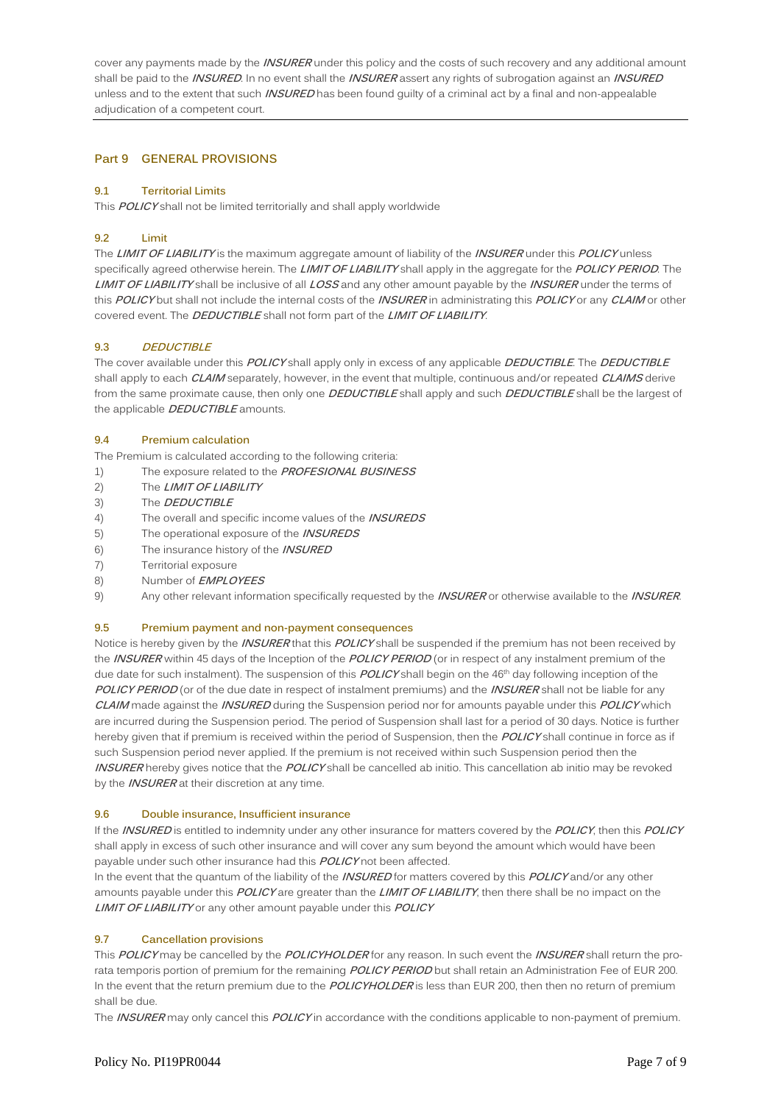cover any payments made by the **INSURER** under this policy and the costs of such recovery and any additional amount shall be paid to the **INSURED**. In no event shall the **INSURER** assert any rights of subrogation against an **INSURED** unless and to the extent that such **INSURED** has been found guilty of a criminal act by a final and non-appealable adjudication of a competent court.

#### **Part 9 GENERAL PROVISIONS**

#### **9.1 Territorial Limits**

This **POLICY** shall not be limited territorially and shall apply worldwide

#### **9.2 Limit**

The **LIMIT OF LIABILITY** is the maximum aggregate amount of liability of the **INSURER** under this **POLICY** unless specifically agreed otherwise herein. The **LIMIT OF LIABILITY** shall apply in the aggregate for the **POLICY PERIOD**. The **LIMIT OF LIABILITY** shall be inclusive of all **LOSS** and any other amount payable by the **INSURER** under the terms of this **POLICY** but shall not include the internal costs of the **INSURER** in administrating this **POLICY** or any **CLAIM** or other covered event. The **DEDUCTIBLE** shall not form part of the **LIMIT OF LIABILITY**.

#### **9.3 DEDUCTIBLE**

The cover available under this **POLICY** shall apply only in excess of any applicable **DEDUCTIBLE**. The **DEDUCTIBLE** shall apply to each **CLAIM** separately, however, in the event that multiple, continuous and/or repeated **CLAIMS** derive from the same proximate cause, then only one **DEDUCTIBLE** shall apply and such **DEDUCTIBLE** shall be the largest of the applicable **DEDUCTIBLE** amounts.

#### **9.4 Premium calculation**

The Premium is calculated according to the following criteria:

- 1) The exposure related to the **PROFESIONAL BUSINESS**
- 2) The **LIMIT OF LIABILITY**
- 3) The **DEDUCTIBLE**
- 4) The overall and specific income values of the **INSUREDS**
- 5) The operational exposure of the **INSUREDS**
- 6) The insurance history of the **INSURED**
- 7) Territorial exposure
- 8) Number of **EMPLOYEES**
- 9) Any other relevant information specifically requested by the **INSURER** or otherwise available to the **INSURER**.

#### **9.5 Premium payment and non-payment consequences**

Notice is hereby given by the **INSURER** that this **POLICY** shall be suspended if the premium has not been received by the **INSURER** within 45 days of the Inception of the **POLICY PERIOD** (or in respect of any instalment premium of the due date for such instalment). The suspension of this **POLICY** shall begin on the 46<sup>th</sup> day following inception of the **POLICY PERIOD** (or of the due date in respect of instalment premiums) and the **INSURER** shall not be liable for any **CLAIM** made against the **INSURED** during the Suspension period nor for amounts payable under this **POLICY** which are incurred during the Suspension period. The period of Suspension shall last for a period of 30 days. Notice is further hereby given that if premium is received within the period of Suspension, then the **POLICY** shall continue in force as if such Suspension period never applied. If the premium is not received within such Suspension period then the **INSURER** hereby gives notice that the **POLICY** shall be cancelled ab initio. This cancellation ab initio may be revoked by the **INSURER** at their discretion at any time.

#### **9.6 Double insurance, Insufficient insurance**

If the **INSURED** is entitled to indemnity under any other insurance for matters covered by the **POLICY**, then this **POLICY** shall apply in excess of such other insurance and will cover any sum beyond the amount which would have been payable under such other insurance had this **POLICY** not been affected.

In the event that the quantum of the liability of the **INSURED** for matters covered by this **POLICY** and/or any other amounts payable under this **POLICY** are greater than the **LIMIT OF LIABILITY**, then there shall be no impact on the **LIMIT OF LIABILITY** or any other amount payable under this **POLICY**

#### **9.7 Cancellation provisions**

This **POLICY** may be cancelled by the **POLICYHOLDER** for any reason. In such event the **INSURER** shall return the prorata temporis portion of premium for the remaining **POLICY PERIOD** but shall retain an Administration Fee of EUR 200. In the event that the return premium due to the **POLICYHOLDER** is less than EUR 200, then then no return of premium shall be due.

The **INSURER** may only cancel this **POLICY** in accordance with the conditions applicable to non-payment of premium.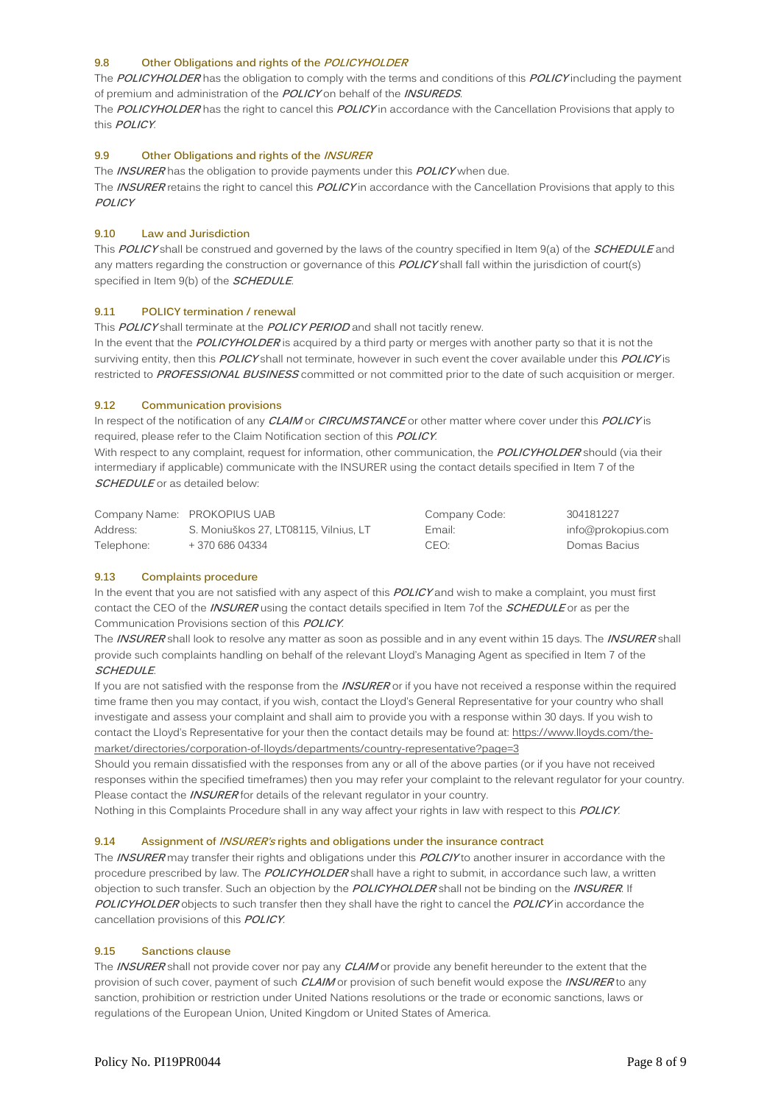#### **9.8 Other Obligations and rights of the POLICYHOLDER**

The **POLICYHOLDER** has the obligation to comply with the terms and conditions of this **POLICY** including the payment of premium and administration of the **POLICY** on behalf of the **INSUREDS**.

The **POLICYHOLDER** has the right to cancel this **POLICY** in accordance with the Cancellation Provisions that apply to this **POLICY**.

#### **9.9 Other Obligations and rights of the INSURER**

The **INSURER** has the obligation to provide payments under this **POLICY** when due.

The **INSURER** retains the right to cancel this **POLICY** in accordance with the Cancellation Provisions that apply to this **POLICY**

#### **9.10 Law and Jurisdiction**

This **POLICY** shall be construed and governed by the laws of the country specified in Item 9(a) of the **SCHEDULE** and any matters regarding the construction or governance of this **POLICY** shall fall within the jurisdiction of court(s) specified in Item 9(b) of the **SCHEDULE**.

#### **9.11 POLICY termination / renewal**

This **POLICY** shall terminate at the **POLICY PERIOD** and shall not tacitly renew.

In the event that the **POLICYHOLDER** is acquired by a third party or merges with another party so that it is not the surviving entity, then this **POLICY** shall not terminate, however in such event the cover available under this **POLICY** is restricted to **PROFESSIONAL BUSINESS** committed or not committed prior to the date of such acquisition or merger.

#### **9.12 Communication provisions**

In respect of the notification of any **CLAIM** or **CIRCUMSTANCE** or other matter where cover under this **POLICY** is required, please refer to the Claim Notification section of this **POLICY**.

With respect to any complaint, request for information, other communication, the **POLICYHOLDER** should (via their intermediary if applicable) communicate with the INSURER using the contact details specified in Item 7 of the **SCHEDULE** or as detailed below:

|            | Company Name: PROKOPIUS UAB           | Company Code:    | 304181227          |
|------------|---------------------------------------|------------------|--------------------|
| Address:   | S. Moniuškos 27. LT08115. Vilnius. LT | Email:           | info@prokopius.com |
| Telephone: | + 370 686 04334                       | CEO <sup>.</sup> | Domas Bacius       |

#### **9.13 Complaints procedure**

In the event that you are not satisfied with any aspect of this **POLICY** and wish to make a complaint, you must first contact the CEO of the **INSURER** using the contact details specified in Item 7of the **SCHEDULE** or as per the Communication Provisions section of this **POLICY**.

The **INSURER** shall look to resolve any matter as soon as possible and in any event within 15 days. The **INSURER** shall provide such complaints handling on behalf of the relevant Lloyd's Managing Agent as specified in Item 7 of the **SCHEDULE**.

If you are not satisfied with the response from the **INSURER** or if you have not received a response within the required time frame then you may contact, if you wish, contact the Lloyd's General Representative for your country who shall investigate and assess your complaint and shall aim to provide you with a response within 30 days. If you wish to contact the Lloyd's Representative for your then the contact details may be found at: [https://www.lloyds.com/the](https://www.lloyds.com/the-market/directories/corporation-of-lloyds/departments/country-representative?page=3)[market/directories/corporation-of-lloyds/departments/country-representative?page=3](https://www.lloyds.com/the-market/directories/corporation-of-lloyds/departments/country-representative?page=3)

Should you remain dissatisfied with the responses from any or all of the above parties (or if you have not received responses within the specified timeframes) then you may refer your complaint to the relevant regulator for your country. Please contact the **INSURER** for details of the relevant regulator in your country.

Nothing in this Complaints Procedure shall in any way affect your rights in law with respect to this **POLICY**.

#### **9.14 Assignment of INSURER's rights and obligations under the insurance contract**

The **INSURER** may transfer their rights and obligations under this **POLCIY** to another insurer in accordance with the procedure prescribed by law. The **POLICYHOLDER** shall have a right to submit, in accordance such law, a written objection to such transfer. Such an objection by the **POLICYHOLDER** shall not be binding on the **INSURER**. If **POLICYHOLDER** objects to such transfer then they shall have the right to cancel the **POLICY** in accordance the cancellation provisions of this **POLICY**.

#### **9.15 Sanctions clause**

The **INSURER** shall not provide cover nor pay any **CLAIM** or provide any benefit hereunder to the extent that the provision of such cover, payment of such **CLAIM** or provision of such benefit would expose the **INSURER** to any sanction, prohibition or restriction under United Nations resolutions or the trade or economic sanctions, laws or regulations of the European Union, United Kingdom or United States of America.